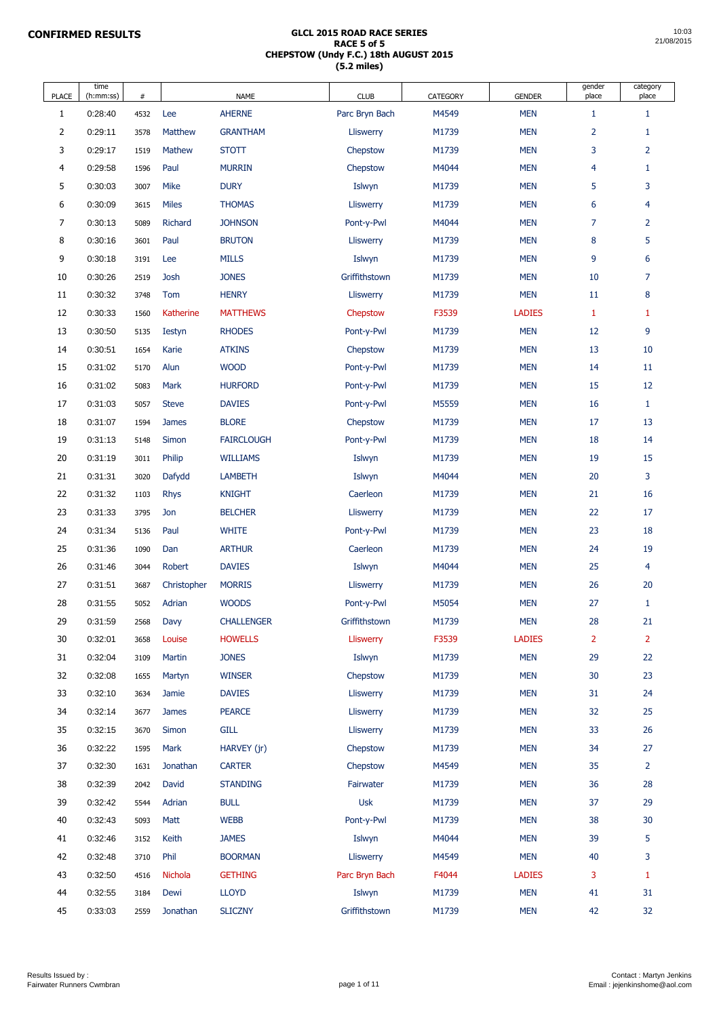| <b>PLACE</b>   | time<br>(h:mm:ss) | #    |                  | <b>NAME</b>       | <b>CLUB</b>      | <b>CATEGORY</b> | <b>GENDER</b> | gender<br>place | category<br>place |
|----------------|-------------------|------|------------------|-------------------|------------------|-----------------|---------------|-----------------|-------------------|
| 1              | 0:28:40           | 4532 | Lee              | <b>AHERNE</b>     | Parc Bryn Bach   | M4549           | <b>MEN</b>    | $\mathbf{1}$    | 1                 |
| $\overline{2}$ | 0:29:11           | 3578 | <b>Matthew</b>   | <b>GRANTHAM</b>   | <b>Lliswerry</b> | M1739           | <b>MEN</b>    | $\overline{2}$  | $\mathbf{1}$      |
| 3              | 0:29:17           | 1519 | Mathew           | <b>STOTT</b>      | Chepstow         | M1739           | <b>MEN</b>    | 3               | $\overline{2}$    |
| 4              | 0:29:58           | 1596 | Paul             | <b>MURRIN</b>     | Chepstow         | M4044           | <b>MEN</b>    | $\overline{4}$  | 1                 |
| 5              | 0:30:03           | 3007 | <b>Mike</b>      | <b>DURY</b>       | Islwyn           | M1739           | <b>MEN</b>    | 5               | 3                 |
| 6              | 0:30:09           | 3615 | <b>Miles</b>     | <b>THOMAS</b>     | <b>Lliswerry</b> | M1739           | <b>MEN</b>    | 6               | $\overline{4}$    |
| 7              | 0:30:13           | 5089 | <b>Richard</b>   | <b>JOHNSON</b>    | Pont-y-Pwl       | M4044           | <b>MEN</b>    | $\overline{7}$  | $\overline{2}$    |
| 8              | 0:30:16           | 3601 | Paul             | <b>BRUTON</b>     | <b>Lliswerry</b> | M1739           | <b>MEN</b>    | 8               | 5                 |
| 9              | 0:30:18           | 3191 | Lee              | <b>MILLS</b>      | Islwyn           | M1739           | <b>MEN</b>    | 9               | $6\phantom{1}$    |
| 10             | 0:30:26           | 2519 | <b>Josh</b>      | <b>JONES</b>      | Griffithstown    | M1739           | <b>MEN</b>    | 10              | $\overline{7}$    |
| 11             | 0:30:32           | 3748 | Tom              | <b>HENRY</b>      | <b>Lliswerry</b> | M1739           | <b>MEN</b>    | 11              | 8                 |
| 12             | 0:30:33           | 1560 | <b>Katherine</b> | <b>MATTHEWS</b>   | Chepstow         | F3539           | <b>LADIES</b> | $\mathbf{1}$    | 1                 |
| 13             | 0:30:50           | 5135 | <b>Iestyn</b>    | <b>RHODES</b>     | Pont-y-Pwl       | M1739           | <b>MEN</b>    | 12              | 9                 |
| 14             | 0:30:51           | 1654 | Karie            | <b>ATKINS</b>     | Chepstow         | M1739           | <b>MEN</b>    | 13              | 10                |
| 15             | 0:31:02           | 5170 | Alun             | <b>WOOD</b>       | Pont-y-Pwl       | M1739           | <b>MEN</b>    | 14              | 11                |
| 16             | 0:31:02           | 5083 | <b>Mark</b>      | <b>HURFORD</b>    | Pont-y-Pwl       | M1739           | <b>MEN</b>    | 15              | 12                |
| 17             | 0:31:03           | 5057 | <b>Steve</b>     | <b>DAVIES</b>     | Pont-y-Pwl       | M5559           | <b>MEN</b>    | 16              |                   |
| 18             | 0:31:07           | 1594 | <b>James</b>     | <b>BLORE</b>      | Chepstow         | M1739           | <b>MEN</b>    | 17              | 13                |
| 19             | 0:31:13           | 5148 | Simon            | <b>FAIRCLOUGH</b> | Pont-y-Pwl       | M1739           | <b>MEN</b>    | 18              | 14                |
| 20             | 0:31:19           | 3011 | Philip           | <b>WILLIAMS</b>   | Islwyn           | M1739           | <b>MEN</b>    | 19              | 15                |
| 21             | 0:31:31           | 3020 | Dafydd           | <b>LAMBETH</b>    | Islwyn           | M4044           | <b>MEN</b>    | 20              | 3                 |
| 22             | 0:31:32           | 1103 | <b>Rhys</b>      | <b>KNIGHT</b>     | Caerleon         | M1739           | <b>MEN</b>    | 21              | 16                |
| 23             | 0:31:33           | 3795 | Jon              | <b>BELCHER</b>    | <b>Lliswerry</b> | M1739           | <b>MEN</b>    | 22              | 17                |
| 24             | 0:31:34           | 5136 | Paul             | <b>WHITE</b>      | Pont-y-Pwl       | M1739           | <b>MEN</b>    | 23              | 18                |
| 25             | 0:31:36           | 1090 | Dan              | <b>ARTHUR</b>     | Caerleon         | M1739           | <b>MEN</b>    | 24              | 19                |
| 26             | 0:31:46           | 3044 | Robert           | <b>DAVIES</b>     | Islwyn           | M4044           | <b>MEN</b>    | 25              | $\overline{4}$    |
| 27             | 0:31:51           | 3687 | Christopher      | <b>MORRIS</b>     | <b>Lliswerry</b> | M1739           | <b>MEN</b>    | 26              | 20                |
| 28             | 0:31:55           | 5052 | Adrian           | <b>WOODS</b>      | Pont-y-Pwl       | M5054           | <b>MEN</b>    | 27              | $\mathbf{1}$      |
| 29             | 0:31:59           | 2568 | Davy             | <b>CHALLENGER</b> | Griffithstown    | M1739           | <b>MEN</b>    | 28              | 21                |
| 30             | 0:32:01           | 3658 | Louise           | <b>HOWELLS</b>    | <b>Lliswerry</b> | F3539           | <b>LADIES</b> | $\overline{2}$  | $\overline{2}$    |
| 31             | 0:32:04           | 3109 | <b>Martin</b>    | <b>JONES</b>      | Islwyn           | M1739           | <b>MEN</b>    | 29              | 22                |
| 32             | 0:32:08           | 1655 | Martyn           | <b>WINSER</b>     | Chepstow         | M1739           | <b>MEN</b>    | 30              | 23                |
| 33             | 0:32:10           | 3634 | <b>Jamie</b>     | <b>DAVIES</b>     | <b>Lliswerry</b> | M1739           | <b>MEN</b>    | 31              | 24                |
| 34             | 0:32:14           | 3677 | <b>James</b>     | <b>PEARCE</b>     | <b>Lliswerry</b> | M1739           | <b>MEN</b>    | 32              | 25                |
| 35             | 0:32:15           | 3670 | <b>Simon</b>     | <b>GILL</b>       | <b>Lliswerry</b> | M1739           | <b>MEN</b>    | 33              | 26                |
| 36             | 0:32:22           | 1595 | Mark             | HARVEY (jr)       | Chepstow         | M1739           | <b>MEN</b>    | 34              | 27                |
| 37             | 0:32:30           | 1631 | Jonathan         | <b>CARTER</b>     | Chepstow         | M4549           | <b>MEN</b>    | 35              | $\overline{2}$    |
| 38             | 0:32:39           | 2042 | David            | <b>STANDING</b>   | Fairwater        | M1739           | <b>MEN</b>    | 36              | 28                |
| 39             | 0:32:42           | 5544 | Adrian           | <b>BULL</b>       | <b>Usk</b>       | M1739           | <b>MEN</b>    | 37              | 29                |
| 40             | 0:32:43           | 5093 | Matt             | <b>WEBB</b>       | Pont-y-Pwl       | M1739           | <b>MEN</b>    | 38              | 30                |
| 41             | 0:32:46           | 3152 | Keith            | <b>JAMES</b>      | Islwyn           | M4044           | <b>MEN</b>    | 39              | 5                 |
| 42             | 0:32:48           | 3710 | Phil             | <b>BOORMAN</b>    | Lliswerry        | M4549           | <b>MEN</b>    | 40              | 3                 |
| 43             | 0:32:50           | 4516 | Nichola          | <b>GETHING</b>    | Parc Bryn Bach   | F4044           | <b>LADIES</b> | 3               | $\mathbf{1}$      |
| 44             | 0:32:55           | 3184 | Dewi             | <b>LLOYD</b>      | Islwyn           | M1739           | <b>MEN</b>    | 41              | 31                |
| 45             | 0:33:03           | 2559 | Jonathan         | <b>SLICZNY</b>    | Griffithstown    | M1739           | <b>MEN</b>    | 42              | 32                |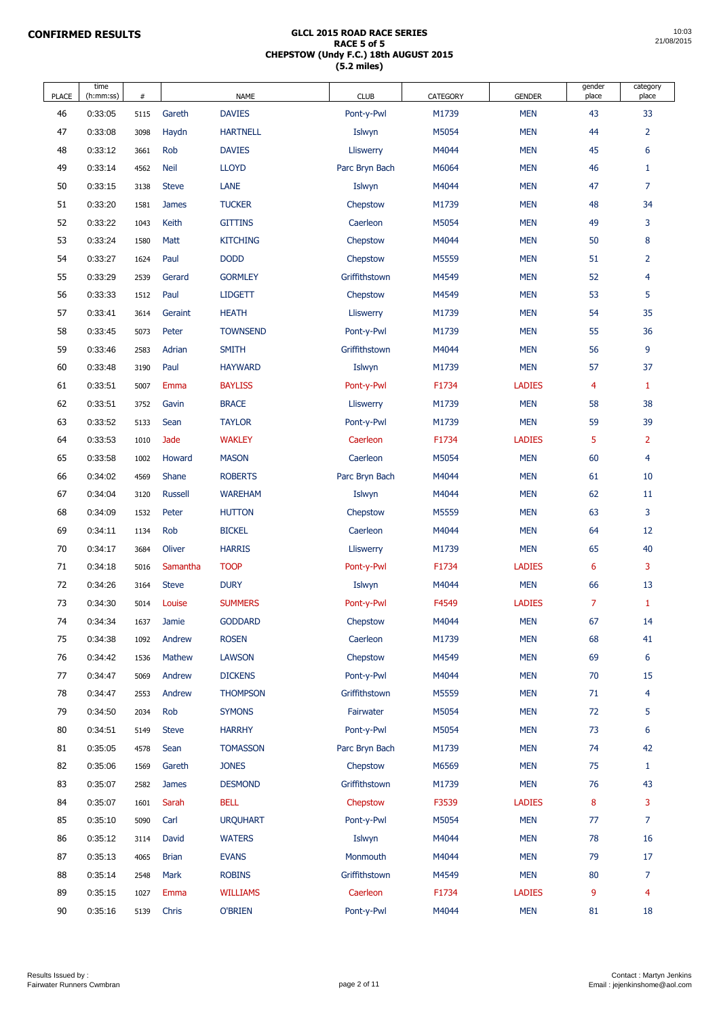| <b>PLACE</b> | time<br>(h:mm:ss)  | #            |                       | <b>NAME</b>                    | <b>CLUB</b>          | <b>CATEGORY</b> | <b>GENDER</b>               | gender<br>place | category<br>place |
|--------------|--------------------|--------------|-----------------------|--------------------------------|----------------------|-----------------|-----------------------------|-----------------|-------------------|
| 46           | 0:33:05            | 5115         | Gareth                | <b>DAVIES</b>                  | Pont-y-Pwl           | M1739           | <b>MEN</b>                  | 43              | 33                |
| 47           | 0:33:08            | 3098         | Haydn                 | <b>HARTNELL</b>                | Islwyn               | M5054           | <b>MEN</b>                  | 44              | $\overline{2}$    |
| 48           | 0:33:12            | 3661         | Rob                   | <b>DAVIES</b>                  | <b>Lliswerry</b>     | M4044           | <b>MEN</b>                  | 45              | 6                 |
| 49           | 0:33:14            | 4562         | <b>Neil</b>           | <b>LLOYD</b>                   | Parc Bryn Bach       | M6064           | <b>MEN</b>                  | 46              | 1                 |
| 50           | 0:33:15            | 3138         | <b>Steve</b>          | <b>LANE</b>                    | Islwyn               | M4044           | <b>MEN</b>                  | 47              | $\overline{7}$    |
| 51           | 0:33:20            | 1581         | <b>James</b>          | <b>TUCKER</b>                  | Chepstow             | M1739           | <b>MEN</b>                  | 48              | 34                |
| 52           | 0:33:22            | 1043         | Keith                 | <b>GITTINS</b>                 | Caerleon             | M5054           | <b>MEN</b>                  | 49              | 3                 |
| 53           | 0:33:24            | 1580         | <b>Matt</b>           | <b>KITCHING</b>                | Chepstow             | M4044           | <b>MEN</b>                  | 50              | 8                 |
| 54           | 0:33:27            | 1624         | Paul                  | <b>DODD</b>                    | Chepstow             | M5559           | <b>MEN</b>                  | 51              | $\overline{2}$    |
| 55           | 0:33:29            | 2539         | Gerard                | <b>GORMLEY</b>                 | Griffithstown        | M4549           | <b>MEN</b>                  | 52              | $\overline{4}$    |
| 56           | 0:33:33            | 1512         | Paul                  | <b>LIDGETT</b>                 | Chepstow             | M4549           | <b>MEN</b>                  | 53              | 5                 |
| 57           | 0:33:41            | 3614         | Geraint               | <b>HEATH</b>                   | <b>Lliswerry</b>     | M1739           | <b>MEN</b>                  | 54              | 35                |
| 58           | 0:33:45            | 5073         | Peter                 | <b>TOWNSEND</b>                | Pont-y-Pwl           | M1739           | <b>MEN</b>                  | 55              | 36                |
| 59           | 0:33:46            | 2583         | Adrian                | <b>SMITH</b>                   | Griffithstown        | M4044           | <b>MEN</b>                  | 56              | $\overline{9}$    |
| 60           | 0:33:48            | 3190         | Paul                  | <b>HAYWARD</b>                 | Islwyn               | M1739           | <b>MEN</b>                  | 57              | 37                |
| 61           | 0:33:51            | 5007         | Emma                  | <b>BAYLISS</b>                 | Pont-y-Pwl           | F1734           | <b>LADIES</b>               | $\overline{4}$  | $\mathbf{1}$      |
| 62           | 0:33:51            | 3752         | Gavin                 | <b>BRACE</b>                   | Lliswerry            | M1739           | <b>MEN</b>                  | 58              | 38                |
| 63           | 0:33:52            | 5133         | Sean                  | <b>TAYLOR</b>                  | Pont-y-Pwl           | M1739           | <b>MEN</b>                  | 59              | 39                |
| 64           | 0:33:53            | 1010         | Jade                  | <b>WAKLEY</b>                  | Caerleon             | F1734           | <b>LADIES</b>               | 5               | $\overline{2}$    |
| 65           | 0:33:58            | 1002         | Howard                | <b>MASON</b>                   | Caerleon             | M5054           | <b>MEN</b>                  | 60              | $\overline{4}$    |
| 66           | 0:34:02            | 4569         | <b>Shane</b>          | <b>ROBERTS</b>                 | Parc Bryn Bach       | M4044           | <b>MEN</b>                  | 61              | 10                |
| 67           | 0:34:04            | 3120         | <b>Russell</b>        | <b>WAREHAM</b>                 | Islwyn               | M4044           | <b>MEN</b>                  | 62              | 11                |
| 68           | 0:34:09            | 1532         | Peter                 | <b>HUTTON</b>                  | Chepstow             | M5559           | <b>MEN</b>                  | 63              | 3                 |
| 69           | 0:34:11            | 1134         | Rob                   | <b>BICKEL</b>                  | Caerleon             | M4044           | <b>MEN</b>                  | 64              | 12                |
| 70           | 0:34:17            | 3684         | Oliver                | <b>HARRIS</b>                  | <b>Lliswerry</b>     | M1739           | <b>MEN</b>                  | 65              | 40                |
| 71           | 0:34:18            | 5016         | Samantha              | <b>TOOP</b>                    | Pont-y-Pwl           | F1734           | <b>LADIES</b>               | $6\phantom{1}$  | 3                 |
| 72           | 0:34:26            | 3164         | <b>Steve</b>          | <b>DURY</b>                    | Islwyn               | M4044           | <b>MEN</b>                  | 66              | 13                |
| 73           | 0:34:30            | 5014         | Louise                | <b>SUMMERS</b>                 | Pont-y-Pwl           | F4549           | <b>LADIES</b>               | $\overline{7}$  | $\mathbf{1}$      |
| 74           | 0:34:34            | 1637         | Jamie                 | <b>GODDARD</b>                 | Chepstow             | M4044           | <b>MEN</b>                  | 67              | 14                |
| 75           | 0:34:38            | 1092         | Andrew                | <b>ROSEN</b>                   | Caerleon             | M1739           | <b>MEN</b>                  | 68              | 41                |
| 76           | 0:34:42            | 1536         | Mathew                | <b>LAWSON</b>                  | Chepstow             | M4549           | <b>MEN</b>                  | 69              | $6\phantom{1}6$   |
| 77           | 0:34:47            | 5069         | Andrew                | <b>DICKENS</b>                 | Pont-y-Pwl           | M4044           | <b>MEN</b>                  | 70              | 15                |
| 78           | 0:34:47            | 2553         | Andrew                | <b>THOMPSON</b>                | Griffithstown        | M5559           | <b>MEN</b>                  | 71              | $\overline{4}$    |
| 79           | 0:34:50            | 2034         | Rob                   | <b>SYMONS</b>                  | Fairwater            | M5054           | <b>MEN</b>                  | 72              | 5                 |
| 80           | 0:34:51            | 5149         | <b>Steve</b>          | <b>HARRHY</b>                  | Pont-y-Pwl           | M5054           | <b>MEN</b>                  | 73              | 6                 |
| 81           | 0:35:05            | 4578         | Sean                  | <b>TOMASSON</b>                | Parc Bryn Bach       | M1739           | <b>MEN</b>                  | 74              | 42                |
| 82           | 0:35:06            | 1569         | Gareth                | <b>JONES</b>                   | Chepstow             | M6569           | <b>MEN</b>                  | 75              | 1                 |
| 83<br>84     | 0:35:07            | 2582         | <b>James</b><br>Sarah | <b>DESMOND</b>                 | Griffithstown        | M1739           | <b>MEN</b><br><b>LADIES</b> | 76<br>8         | 43<br>3           |
| 85           | 0:35:07            | 1601         |                       | <b>BELL</b><br><b>URQUHART</b> | Chepstow             | F3539<br>M5054  | <b>MEN</b>                  | 77              | $\overline{7}$    |
| 86           | 0:35:10<br>0:35:12 | 5090         | Carl<br>David         | <b>WATERS</b>                  | Pont-y-Pwl<br>Islwyn | M4044           | <b>MEN</b>                  | 78              | 16                |
| 87           | 0:35:13            | 3114<br>4065 | <b>Brian</b>          | <b>EVANS</b>                   | Monmouth             | M4044           | <b>MEN</b>                  | 79              | 17                |
| 88           | 0:35:14            | 2548         | <b>Mark</b>           | <b>ROBINS</b>                  | Griffithstown        | M4549           | <b>MEN</b>                  | 80              | $\overline{7}$    |
| 89           | 0:35:15            | 1027         | Emma                  | <b>WILLIAMS</b>                | Caerleon             | F1734           | <b>LADIES</b>               | 9               | $\overline{4}$    |
| 90           | 0:35:16            | 5139         | Chris                 | <b>O'BRIEN</b>                 | Pont-y-Pwl           | M4044           | <b>MEN</b>                  | 81              | 18                |

Contact : Martyn Jenkins

Email : jejenkinshome@aol.com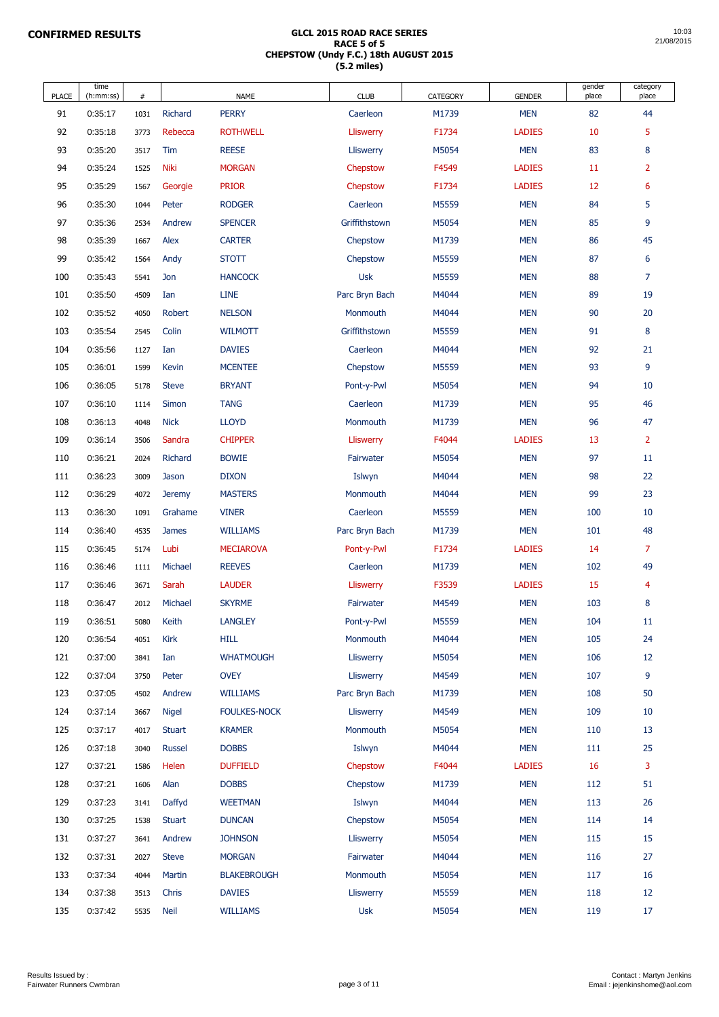| <b>PLACE</b> | time<br>(h:mm:ss)  | #            |                        | <b>NAME</b>                         | <b>CLUB</b>           | <b>CATEGORY</b> | <b>GENDER</b>            | gender<br>place | category<br>place |
|--------------|--------------------|--------------|------------------------|-------------------------------------|-----------------------|-----------------|--------------------------|-----------------|-------------------|
| 91           | 0:35:17            | 1031         | <b>Richard</b>         | <b>PERRY</b>                        | Caerleon              | M1739           | <b>MEN</b>               | 82              | 44                |
| 92           | 0:35:18            | 3773         | Rebecca                | <b>ROTHWELL</b>                     | <b>Lliswerry</b>      | F1734           | <b>LADIES</b>            | 10              | 5                 |
| 93           | 0:35:20            | 3517         | Tim                    | <b>REESE</b>                        | <b>Lliswerry</b>      | M5054           | <b>MEN</b>               | 83              | 8                 |
| 94           | 0:35:24            | 1525         | <b>Niki</b>            | <b>MORGAN</b>                       | Chepstow              | F4549           | <b>LADIES</b>            | 11              | $\overline{2}$    |
| 95           | 0:35:29            | 1567         | Georgie                | <b>PRIOR</b>                        | Chepstow              | F1734           | <b>LADIES</b>            | 12              | 6                 |
| 96           | 0:35:30            | 1044         | Peter                  | <b>RODGER</b>                       | Caerleon              | M5559           | <b>MEN</b>               | 84              | 5                 |
| 97           | 0:35:36            | 2534         | Andrew                 | <b>SPENCER</b>                      | Griffithstown         | M5054           | <b>MEN</b>               | 85              | 9                 |
| 98           | 0:35:39            | 1667         | Alex                   | <b>CARTER</b>                       | Chepstow              | M1739           | <b>MEN</b>               | 86              | 45                |
| 99           | 0:35:42            | 1564         | Andy                   | <b>STOTT</b>                        | Chepstow              | M5559           | <b>MEN</b>               | 87              | 6                 |
| 100          | 0:35:43            | 5541         | Jon                    | <b>HANCOCK</b>                      | <b>Usk</b>            | M5559           | <b>MEN</b>               | 88              | $\overline{7}$    |
| 101          | 0:35:50            | 4509         | Ian                    | <b>LINE</b>                         | Parc Bryn Bach        | M4044           | <b>MEN</b>               | 89              | 19                |
| 102          | 0:35:52            | 4050         | Robert                 | <b>NELSON</b>                       | Monmouth              | M4044           | <b>MEN</b>               | 90              | 20                |
| 103          | 0:35:54            | 2545         | Colin                  | <b>WILMOTT</b>                      | Griffithstown         | M5559           | <b>MEN</b>               | 91              | $\bf 8$           |
| 104          | 0:35:56            | 1127         | Ian                    | <b>DAVIES</b>                       | Caerleon              | M4044           | <b>MEN</b>               | 92              | 21                |
| 105          | 0:36:01            | 1599         | Kevin                  | <b>MCENTEE</b>                      | Chepstow              | M5559           | <b>MEN</b>               | 93              | 9                 |
| 106          | 0:36:05            | 5178         | <b>Steve</b>           | <b>BRYANT</b>                       | Pont-y-Pwl            | M5054           | <b>MEN</b>               | 94              | 10                |
| 107          | 0:36:10            | 1114         | <b>Simon</b>           | <b>TANG</b>                         | Caerleon              | M1739           | <b>MEN</b>               | 95              | 46                |
| 108          | 0:36:13            | 4048         | <b>Nick</b>            | <b>LLOYD</b>                        | Monmouth              | M1739           | <b>MEN</b>               | 96              | 47                |
| 109          | 0:36:14            | 3506         | Sandra                 | <b>CHIPPER</b>                      | <b>Lliswerry</b>      | F4044           | <b>LADIES</b>            | 13              | $\overline{2}$    |
| 110          | 0:36:21            | 2024         | Richard                | <b>BOWIE</b>                        | Fairwater             | M5054           | <b>MEN</b>               | 97              | $11\,$            |
| 111          | 0:36:23            | 3009         | Jason                  | <b>DIXON</b>                        | Islwyn                | M4044           | <b>MEN</b>               | 98              | 22                |
| 112          | 0:36:29            | 4072         | <b>Jeremy</b>          | <b>MASTERS</b>                      | Monmouth              | M4044           | <b>MEN</b>               | 99              | 23                |
| 113          | 0:36:30            | 1091         | Grahame                | <b>VINER</b>                        | Caerleon              | M5559           | <b>MEN</b>               | 100             | 10                |
| 114          | 0:36:40            | 4535         | <b>James</b>           | <b>WILLIAMS</b>                     | Parc Bryn Bach        | M1739           | <b>MEN</b>               | 101             | 48                |
| 115          | 0:36:45            | 5174         | Lubi                   | <b>MECIAROVA</b>                    | Pont-y-Pwl            | F1734           | <b>LADIES</b>            | 14              | $\overline{7}$    |
| 116          | 0:36:46            | 1111         | Michael                | <b>REEVES</b>                       | Caerleon              | M1739           | <b>MEN</b>               | 102             | 49                |
| 117          | 0:36:46            | 3671         | Sarah                  | <b>LAUDER</b>                       | <b>Lliswerry</b>      | F3539           | <b>LADIES</b>            | 15              | $\overline{4}$    |
| 118          | 0:36:47            | 2012         | Michael                | <b>SKYRME</b>                       | Fairwater             | M4549           | <b>MEN</b>               | 103             | $\boldsymbol{8}$  |
| 119          | 0:36:51            | 5080         | Keith                  | <b>LANGLEY</b>                      | Pont-y-Pwl            | M5559           | <b>MEN</b>               | 104             | 11                |
| 120          | 0:36:54            | 4051         | <b>Kirk</b>            | <b>HILL</b>                         | Monmouth              | M4044           | <b>MEN</b>               | 105             | 24                |
| 121          | 0:37:00            | 3841         | Ian                    | <b>WHATMOUGH</b>                    | <b>Lliswerry</b>      | M5054           | <b>MEN</b>               | 106             | 12                |
| 122          | 0:37:04            | 3750         | Peter                  | <b>OVEY</b>                         | <b>Lliswerry</b>      | M4549           | <b>MEN</b>               | 107             | 9                 |
| 123          | 0:37:05            | 4502         | Andrew                 | <b>WILLIAMS</b>                     | Parc Bryn Bach        | M1739           | <b>MEN</b>               | 108             | 50                |
| 124          | 0:37:14            | 3667         | <b>Nigel</b>           | <b>FOULKES-NOCK</b>                 | <b>Lliswerry</b>      | M4549           | <b>MEN</b>               | 109             | 10                |
| 125          | 0:37:17            | 4017         | <b>Stuart</b>          | <b>KRAMER</b>                       | Monmouth              | M5054           | <b>MEN</b>               | 110             | 13                |
| 126          | 0:37:18            | 3040         | Russel                 | <b>DOBBS</b>                        | Islwyn                | M4044           | <b>MEN</b>               | 111             | 25                |
| 127          | 0:37:21            | 1586         | Helen                  | <b>DUFFIELD</b>                     | Chepstow              | F4044           | <b>LADIES</b>            | 16              | 3                 |
| 128          | 0:37:21            | 1606         | Alan                   | <b>DOBBS</b>                        | Chepstow              | M1739           | <b>MEN</b>               | 112             | 51                |
| 129          | 0:37:23            | 3141         | Daffyd                 | <b>WEETMAN</b>                      | Islwyn                | M4044           | <b>MEN</b>               | 113             | 26                |
| 130          | 0:37:25            | 1538         | <b>Stuart</b>          | <b>DUNCAN</b>                       | Chepstow              | M5054           | <b>MEN</b>               | 114             | 14                |
| 131          | 0:37:27            | 3641         | Andrew                 | <b>JOHNSON</b>                      | Lliswerry             | M5054           | <b>MEN</b>               | 115             | 15<br>27          |
| 132          | 0:37:31            | 2027         | <b>Steve</b>           | <b>MORGAN</b><br><b>BLAKEBROUGH</b> | Fairwater<br>Monmouth | M4044<br>M5054  | <b>MEN</b><br><b>MEN</b> | 116             | 16                |
| 133<br>134   | 0:37:34<br>0:37:38 | 4044         | <b>Martin</b><br>Chris | <b>DAVIES</b>                       | <b>Lliswerry</b>      | M5559           | <b>MEN</b>               | 117<br>118      | 12                |
| 135          | 0:37:42            | 3513<br>5535 | <b>Neil</b>            | <b>WILLIAMS</b>                     | <b>Usk</b>            | M5054           | <b>MEN</b>               | 119             | 17                |
|              |                    |              |                        |                                     |                       |                 |                          |                 |                   |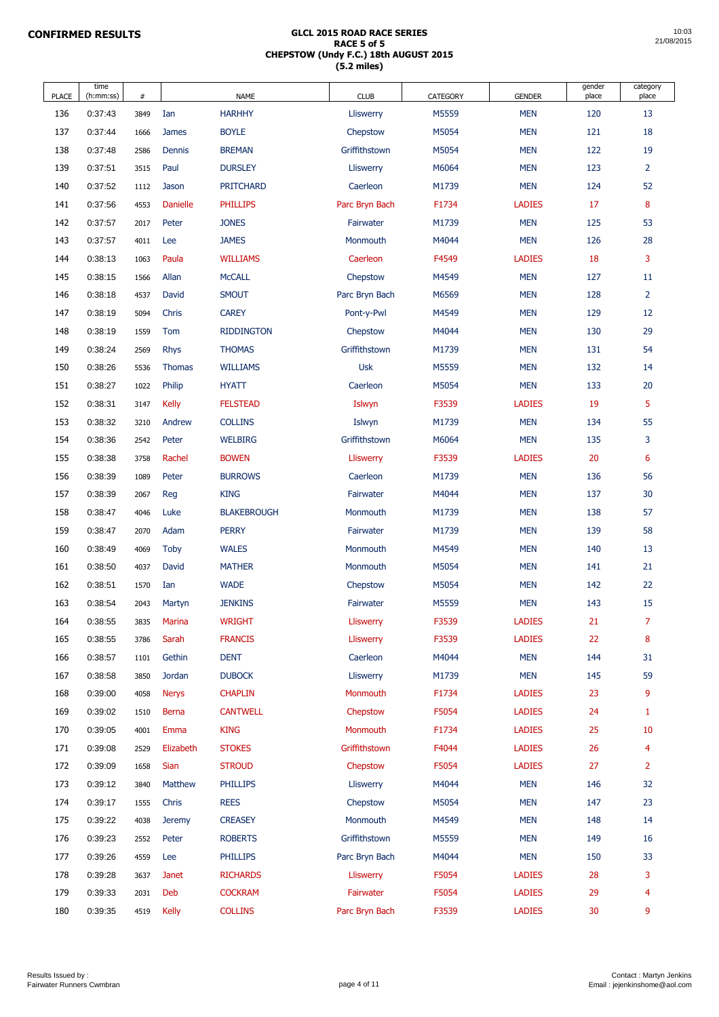| <b>PLACE</b> | time<br>(h:mm:ss) | #    |                 | <b>NAME</b>        | <b>CLUB</b>      | <b>CATEGORY</b> | <b>GENDER</b> | gender<br>place | category<br>place |
|--------------|-------------------|------|-----------------|--------------------|------------------|-----------------|---------------|-----------------|-------------------|
| 136          | 0:37:43           | 3849 | Ian             | <b>HARHHY</b>      | <b>Lliswerry</b> | M5559           | <b>MEN</b>    | 120             | 13                |
| 137          | 0:37:44           | 1666 | <b>James</b>    | <b>BOYLE</b>       | Chepstow         | M5054           | <b>MEN</b>    | 121             | 18                |
| 138          | 0:37:48           | 2586 | <b>Dennis</b>   | <b>BREMAN</b>      | Griffithstown    | M5054           | <b>MEN</b>    | 122             | 19                |
| 139          | 0:37:51           | 3515 | Paul            | <b>DURSLEY</b>     | <b>Lliswerry</b> | M6064           | <b>MEN</b>    | 123             | $\overline{2}$    |
| 140          | 0:37:52           | 1112 | Jason           | <b>PRITCHARD</b>   | Caerleon         | M1739           | <b>MEN</b>    | 124             | 52                |
| 141          | 0:37:56           | 4553 | <b>Danielle</b> | <b>PHILLIPS</b>    | Parc Bryn Bach   | F1734           | <b>LADIES</b> | 17              | 8                 |
| 142          | 0:37:57           | 2017 | Peter           | <b>JONES</b>       | Fairwater        | M1739           | <b>MEN</b>    | 125             | 53                |
| 143          | 0:37:57           | 4011 | Lee             | <b>JAMES</b>       | Monmouth         | M4044           | <b>MEN</b>    | 126             | 28                |
| 144          | 0:38:13           | 1063 | Paula           | <b>WILLIAMS</b>    | Caerleon         | F4549           | <b>LADIES</b> | 18              | 3                 |
| 145          | 0:38:15           | 1566 | Allan           | <b>McCALL</b>      | Chepstow         | M4549           | <b>MEN</b>    | 127             | 11                |
| 146          | 0:38:18           | 4537 | David           | <b>SMOUT</b>       | Parc Bryn Bach   | M6569           | <b>MEN</b>    | 128             | $\overline{2}$    |
| 147          | 0:38:19           | 5094 | Chris           | <b>CAREY</b>       | Pont-y-Pwl       | M4549           | <b>MEN</b>    | 129             | 12                |
| 148          | 0:38:19           | 1559 | <b>Tom</b>      | <b>RIDDINGTON</b>  | Chepstow         | M4044           | <b>MEN</b>    | 130             | 29                |
| 149          | 0:38:24           | 2569 | <b>Rhys</b>     | <b>THOMAS</b>      | Griffithstown    | M1739           | <b>MEN</b>    | 131             | 54                |
| 150          | 0:38:26           | 5536 | <b>Thomas</b>   | <b>WILLIAMS</b>    | <b>Usk</b>       | M5559           | <b>MEN</b>    | 132             | 14                |
| 151          | 0:38:27           | 1022 | Philip          | <b>HYATT</b>       | Caerleon         | M5054           | <b>MEN</b>    | 133             | 20                |
| 152          | 0:38:31           | 3147 | <b>Kelly</b>    | <b>FELSTEAD</b>    | Islwyn           | F3539           | <b>LADIES</b> | 19              | 5                 |
| 153          | 0:38:32           | 3210 | Andrew          | <b>COLLINS</b>     | Islwyn           | M1739           | <b>MEN</b>    | 134             | 55                |
| 154          | 0:38:36           | 2542 | Peter           | <b>WELBIRG</b>     | Griffithstown    | M6064           | <b>MEN</b>    | 135             | 3                 |
| 155          | 0:38:38           | 3758 | Rachel          | <b>BOWEN</b>       | <b>Lliswerry</b> | F3539           | <b>LADIES</b> | 20              | 6                 |
| 156          | 0:38:39           | 1089 | Peter           | <b>BURROWS</b>     | Caerleon         | M1739           | <b>MEN</b>    | 136             | 56                |
| 157          | 0:38:39           | 2067 | Reg             | <b>KING</b>        | Fairwater        | M4044           | <b>MEN</b>    | 137             | 30                |
| 158          | 0:38:47           | 4046 | Luke            | <b>BLAKEBROUGH</b> | Monmouth         | M1739           | <b>MEN</b>    | 138             | 57                |
| 159          | 0:38:47           | 2070 | Adam            | <b>PERRY</b>       | Fairwater        | M1739           | <b>MEN</b>    | 139             | 58                |
| 160          | 0:38:49           | 4069 | <b>Toby</b>     | <b>WALES</b>       | Monmouth         | M4549           | <b>MEN</b>    | 140             | 13                |
| 161          | 0:38:50           | 4037 | David           | <b>MATHER</b>      | Monmouth         | M5054           | <b>MEN</b>    | 141             | 21                |
| 162          | 0:38:51           | 1570 | Ian             | <b>WADE</b>        | Chepstow         | M5054           | <b>MEN</b>    | 142             | 22                |
| 163          | 0:38:54           | 2043 | Martyn          | <b>JENKINS</b>     | Fairwater        | M5559           | <b>MEN</b>    | 143             | 15                |
| 164          | 0:38:55           | 3835 | <b>Marina</b>   | <b>WRIGHT</b>      | <b>Lliswerry</b> | F3539           | <b>LADIES</b> | 21              | $\overline{7}$    |
| 165          | 0:38:55           | 3786 | Sarah           | <b>FRANCIS</b>     | <b>Lliswerry</b> | F3539           | <b>LADIES</b> | 22              | 8                 |
| 166          | 0:38:57           | 1101 | Gethin          | <b>DENT</b>        | Caerleon         | M4044           | <b>MEN</b>    | 144             | 31                |
| 167          | 0:38:58           | 3850 | <b>Jordan</b>   | <b>DUBOCK</b>      | <b>Lliswerry</b> | M1739           | <b>MEN</b>    | 145             | 59                |
| 168          | 0:39:00           | 4058 | <b>Nerys</b>    | <b>CHAPLIN</b>     | Monmouth         | F1734           | <b>LADIES</b> | 23              | 9                 |
| 169          | 0:39:02           | 1510 | <b>Berna</b>    | <b>CANTWELL</b>    | Chepstow         | F5054           | <b>LADIES</b> | 24              | $\mathbf{1}$      |
| 170          | 0:39:05           | 4001 | Emma            | <b>KING</b>        | Monmouth         | F1734           | <b>LADIES</b> | 25              | 10                |
| 171          | 0:39:08           | 2529 | Elizabeth       | <b>STOKES</b>      | Griffithstown    | F4044           | <b>LADIES</b> | 26              | $\overline{4}$    |
| 172          | 0:39:09           | 1658 | Sian            | <b>STROUD</b>      | Chepstow         | F5054           | <b>LADIES</b> | 27              | $\overline{2}$    |
| 173          | 0:39:12           | 3840 | <b>Matthew</b>  | <b>PHILLIPS</b>    | <b>Lliswerry</b> | M4044           | <b>MEN</b>    | 146             | 32                |
| 174          | 0:39:17           | 1555 | Chris           | <b>REES</b>        | Chepstow         | M5054           | <b>MEN</b>    | 147             | 23                |
| 175          | 0:39:22           | 4038 | <b>Jeremy</b>   | <b>CREASEY</b>     | Monmouth         | M4549           | <b>MEN</b>    | 148             | 14                |
| 176          | 0:39:23           | 2552 | Peter           | <b>ROBERTS</b>     | Griffithstown    | M5559           | <b>MEN</b>    | 149             | 16                |
| 177          | 0:39:26           | 4559 | Lee             | <b>PHILLIPS</b>    | Parc Bryn Bach   | M4044           | <b>MEN</b>    | 150             | 33                |
| 178          | 0:39:28           | 3637 | <b>Janet</b>    | <b>RICHARDS</b>    | <b>Lliswerry</b> | F5054           | <b>LADIES</b> | 28              | 3                 |
| 179          | 0:39:33           | 2031 | Deb             | <b>COCKRAM</b>     | Fairwater        | F5054           | <b>LADIES</b> | 29              | $\overline{4}$    |
| 180          | 0:39:35           | 4519 | <b>Kelly</b>    | <b>COLLINS</b>     | Parc Bryn Bach   | F3539           | <b>LADIES</b> | 30              | 9                 |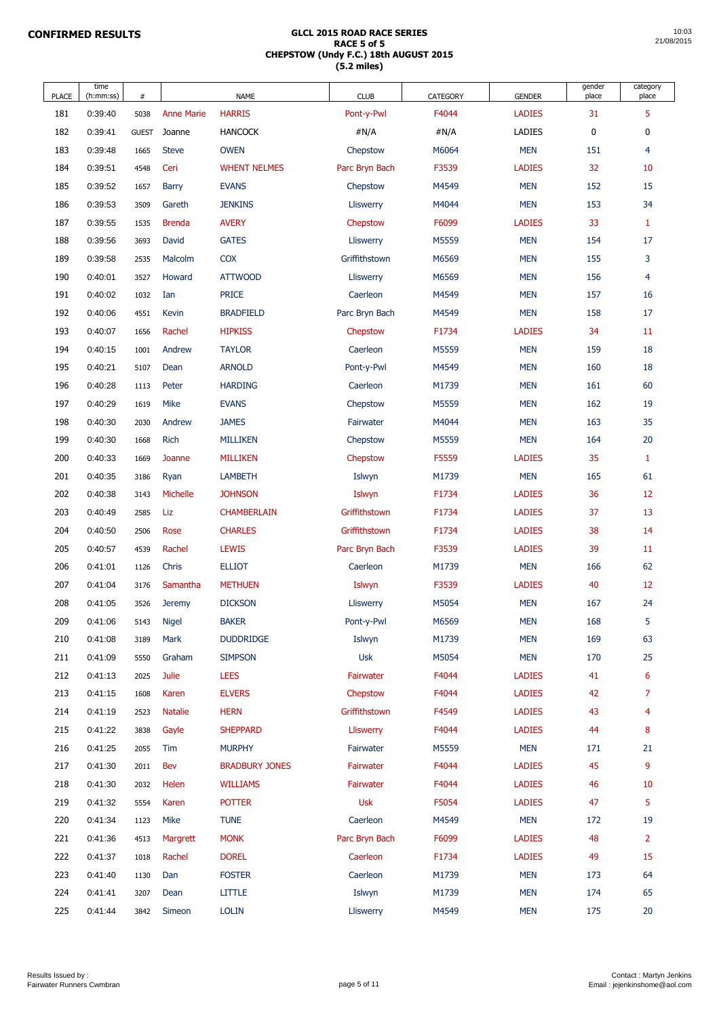| <b>PLACE</b> | time<br>(h:mm:ss) | #            |                   | <b>NAME</b>           | <b>CLUB</b>      | <b>CATEGORY</b> | <b>GENDER</b> | gender<br>place | category<br>place |
|--------------|-------------------|--------------|-------------------|-----------------------|------------------|-----------------|---------------|-----------------|-------------------|
| 181          | 0:39:40           | 5038         | <b>Anne Marie</b> | <b>HARRIS</b>         | Pont-y-Pwl       | F4044           | <b>LADIES</b> | 31              | 5                 |
| 182          | 0:39:41           | <b>GUEST</b> | Joanne            | <b>HANCOCK</b>        | #N/A             | #N/A            | <b>LADIES</b> | $\pmb{0}$       | $\pmb{0}$         |
| 183          | 0:39:48           | 1665         | <b>Steve</b>      | <b>OWEN</b>           | Chepstow         | M6064           | <b>MEN</b>    | 151             | 4                 |
| 184          | 0:39:51           | 4548         | Ceri              | <b>WHENT NELMES</b>   | Parc Bryn Bach   | F3539           | <b>LADIES</b> | 32              | 10                |
| 185          | 0:39:52           | 1657         | <b>Barry</b>      | <b>EVANS</b>          | Chepstow         | M4549           | <b>MEN</b>    | 152             | 15                |
| 186          | 0:39:53           | 3509         | Gareth            | <b>JENKINS</b>        | <b>Lliswerry</b> | M4044           | <b>MEN</b>    | 153             | 34                |
| 187          | 0:39:55           | 1535         | <b>Brenda</b>     | <b>AVERY</b>          | Chepstow         | F6099           | <b>LADIES</b> | 33              | $\mathbf{1}$      |
| 188          | 0:39:56           | 3693         | David             | <b>GATES</b>          | <b>Lliswerry</b> | M5559           | <b>MEN</b>    | 154             | 17                |
| 189          | 0:39:58           | 2535         | Malcolm           | <b>COX</b>            | Griffithstown    | M6569           | <b>MEN</b>    | 155             | 3                 |
| 190          | 0:40:01           | 3527         | Howard            | <b>ATTWOOD</b>        | <b>Lliswerry</b> | M6569           | <b>MEN</b>    | 156             | $\overline{4}$    |
| 191          | 0:40:02           | 1032         | Ian               | <b>PRICE</b>          | Caerleon         | M4549           | <b>MEN</b>    | 157             | 16                |
| 192          | 0:40:06           | 4551         | <b>Kevin</b>      | <b>BRADFIELD</b>      | Parc Bryn Bach   | M4549           | <b>MEN</b>    | 158             | 17                |
| 193          | 0:40:07           | 1656         | Rachel            | <b>HIPKISS</b>        | Chepstow         | F1734           | <b>LADIES</b> | 34              | <b>11</b>         |
| 194          | 0:40:15           | 1001         | Andrew            | <b>TAYLOR</b>         | Caerleon         | M5559           | <b>MEN</b>    | 159             | 18                |
| 195          | 0:40:21           | 5107         | Dean              | <b>ARNOLD</b>         | Pont-y-Pwl       | M4549           | <b>MEN</b>    | 160             | 18                |
| 196          | 0:40:28           | 1113         | Peter             | <b>HARDING</b>        | Caerleon         | M1739           | <b>MEN</b>    | 161             | 60                |
| 197          | 0:40:29           | 1619         | <b>Mike</b>       | <b>EVANS</b>          | Chepstow         | M5559           | <b>MEN</b>    | 162             | 19                |
| 198          | 0:40:30           | 2030         | Andrew            | <b>JAMES</b>          | Fairwater        | M4044           | <b>MEN</b>    | 163             | 35                |
| 199          | 0:40:30           | 1668         | <b>Rich</b>       | <b>MILLIKEN</b>       | Chepstow         | M5559           | <b>MEN</b>    | 164             | 20                |
| 200          | 0:40:33           | 1669         | Joanne            | <b>MILLIKEN</b>       | Chepstow         | F5559           | <b>LADIES</b> | 35              | $\mathbf{1}$      |
| 201          | 0:40:35           | 3186         | Ryan              | <b>LAMBETH</b>        | Islwyn           | M1739           | <b>MEN</b>    | 165             | 61                |
| 202          | 0:40:38           | 3143         | Michelle          | <b>JOHNSON</b>        | Islwyn           | F1734           | <b>LADIES</b> | 36              | 12                |
| 203          | 0:40:49           | 2585         | Liz               | <b>CHAMBERLAIN</b>    | Griffithstown    | F1734           | <b>LADIES</b> | 37              | 13                |
| 204          | 0:40:50           | 2506         | Rose              | <b>CHARLES</b>        | Griffithstown    | F1734           | <b>LADIES</b> | 38              | 14                |
| 205          | 0:40:57           | 4539         | Rachel            | <b>LEWIS</b>          | Parc Bryn Bach   | F3539           | <b>LADIES</b> | 39              | <b>11</b>         |
| 206          | 0:41:01           | 1126         | Chris             | <b>ELLIOT</b>         | Caerleon         | M1739           | <b>MEN</b>    | 166             | 62                |
| 207          | 0:41:04           | 3176         | Samantha          | <b>METHUEN</b>        | Islwyn           | F3539           | <b>LADIES</b> | 40              | 12                |
| 208          | 0:41:05           | 3526         | <b>Jeremy</b>     | <b>DICKSON</b>        | <b>Lliswerry</b> | M5054           | <b>MEN</b>    | 167             | 24                |
| 209          | 0:41:06           | 5143         | <b>Nigel</b>      | <b>BAKER</b>          | Pont-y-Pwl       | M6569           | <b>MEN</b>    | 168             | 5                 |
| 210          | 0:41:08           | 3189         | <b>Mark</b>       | <b>DUDDRIDGE</b>      | Islwyn           | M1739           | <b>MEN</b>    | 169             | 63                |
| 211          | 0:41:09           | 5550         | Graham            | <b>SIMPSON</b>        | <b>Usk</b>       | M5054           | <b>MEN</b>    | 170             | 25                |
| 212          | 0:41:13           | 2025         | Julie             | <b>LEES</b>           | Fairwater        | F4044           | <b>LADIES</b> | 41              | $6\phantom{1}6$   |
| 213          | 0:41:15           | 1608         | Karen             | <b>ELVERS</b>         | Chepstow         | F4044           | <b>LADIES</b> | 42              | $\overline{7}$    |
| 214          | 0:41:19           | 2523         | <b>Natalie</b>    | <b>HERN</b>           | Griffithstown    | F4549           | <b>LADIES</b> | 43              | $\overline{4}$    |
| 215          | 0:41:22           | 3838         | Gayle             | <b>SHEPPARD</b>       | <b>Lliswerry</b> | F4044           | <b>LADIES</b> | 44              | 8                 |
| 216          | 0:41:25           | 2055         | Tim               | <b>MURPHY</b>         | Fairwater        | M5559           | <b>MEN</b>    | 171             | 21                |
| 217          | 0:41:30           | 2011         | Bev               | <b>BRADBURY JONES</b> | Fairwater        | F4044           | <b>LADIES</b> | 45              | 9                 |
| 218          | 0:41:30           | 2032         | Helen             | <b>WILLIAMS</b>       | Fairwater        | F4044           | <b>LADIES</b> | 46              | 10                |
| 219          | 0:41:32           | 5554         | Karen             | <b>POTTER</b>         | <b>Usk</b>       | F5054           | <b>LADIES</b> | 47              | 5                 |
| 220          | 0:41:34           | 1123         | Mike              | <b>TUNE</b>           | Caerleon         | M4549           | <b>MEN</b>    | 172             | 19                |
| 221          | 0:41:36           | 4513         | Margrett          | <b>MONK</b>           | Parc Bryn Bach   | F6099           | <b>LADIES</b> | 48              | $\overline{2}$    |
| 222          | 0:41:37           | 1018         | Rachel            | <b>DOREL</b>          | Caerleon         | F1734           | <b>LADIES</b> | 49              | 15                |
| 223          | 0:41:40           | 1130         | Dan               | <b>FOSTER</b>         | Caerleon         | M1739           | <b>MEN</b>    | 173             | 64                |
| 224          | 0:41:41           | 3207         | Dean              | <b>LITTLE</b>         | Islwyn           | M1739           | <b>MEN</b>    | 174             | 65                |
| 225          | 0:41:44           | 3842         | Simeon            | <b>LOLIN</b>          | <b>Lliswerry</b> | M4549           | <b>MEN</b>    | 175             | 20                |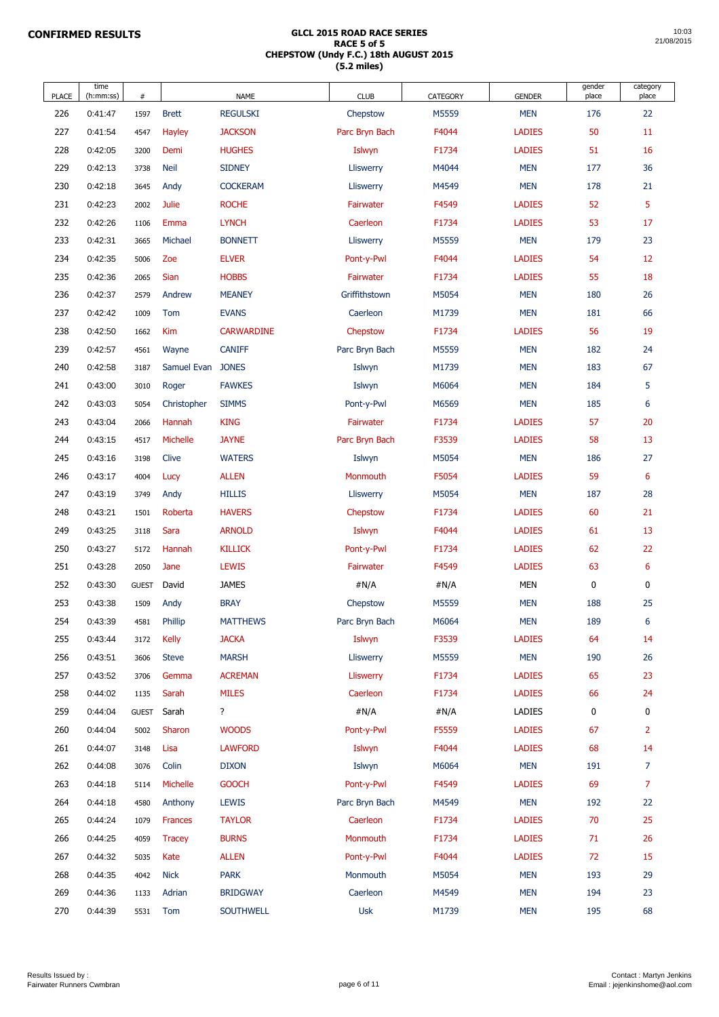| <b>PLACE</b> | time<br>(h:mm:ss) | #            |                 | <b>NAME</b>       | <b>CLUB</b>      | <b>CATEGORY</b> | <b>GENDER</b> | gender<br>place | category<br>place |
|--------------|-------------------|--------------|-----------------|-------------------|------------------|-----------------|---------------|-----------------|-------------------|
| 226          | 0:41:47           | 1597         | <b>Brett</b>    | <b>REGULSKI</b>   | Chepstow         | M5559           | <b>MEN</b>    | 176             | 22                |
| 227          | 0:41:54           | 4547         | <b>Hayley</b>   | <b>JACKSON</b>    | Parc Bryn Bach   | F4044           | <b>LADIES</b> | 50              | 11                |
| 228          | 0:42:05           | 3200         | Demi            | <b>HUGHES</b>     | Islwyn           | F1734           | <b>LADIES</b> | 51              | 16                |
| 229          | 0:42:13           | 3738         | <b>Neil</b>     | <b>SIDNEY</b>     | Lliswerry        | M4044           | <b>MEN</b>    | 177             | 36                |
| 230          | 0:42:18           | 3645         | Andy            | <b>COCKERAM</b>   | Lliswerry        | M4549           | <b>MEN</b>    | 178             | 21                |
| 231          | 0:42:23           | 2002         | <b>Julie</b>    | <b>ROCHE</b>      | Fairwater        | F4549           | <b>LADIES</b> | 52              | 5                 |
| 232          | 0:42:26           | 1106         | Emma            | <b>LYNCH</b>      | Caerleon         | F1734           | <b>LADIES</b> | 53              | 17                |
| 233          | 0:42:31           | 3665         | Michael         | <b>BONNETT</b>    | Lliswerry        | M5559           | <b>MEN</b>    | 179             | 23                |
| 234          | 0:42:35           | 5006         | Zoe             | <b>ELVER</b>      | Pont-y-Pwl       | F4044           | <b>LADIES</b> | 54              | 12                |
| 235          | 0:42:36           | 2065         | <b>Sian</b>     | <b>HOBBS</b>      | Fairwater        | F1734           | <b>LADIES</b> | 55              | 18                |
| 236          | 0:42:37           | 2579         | Andrew          | <b>MEANEY</b>     | Griffithstown    | M5054           | <b>MEN</b>    | 180             | 26                |
| 237          | 0:42:42           | 1009         | <b>Tom</b>      | <b>EVANS</b>      | Caerleon         | M1739           | <b>MEN</b>    | 181             | 66                |
| 238          | 0:42:50           | 1662         | <b>Kim</b>      | <b>CARWARDINE</b> | Chepstow         | F1734           | <b>LADIES</b> | 56              | 19                |
| 239          | 0:42:57           | 4561         | Wayne           | <b>CANIFF</b>     | Parc Bryn Bach   | M5559           | <b>MEN</b>    | 182             | 24                |
| 240          | 0:42:58           | 3187         | Samuel Evan     | <b>JONES</b>      | Islwyn           | M1739           | <b>MEN</b>    | 183             | 67                |
| 241          | 0:43:00           | 3010         | Roger           | <b>FAWKES</b>     | Islwyn           | M6064           | <b>MEN</b>    | 184             | 5                 |
| 242          | 0:43:03           | 5054         | Christopher     | <b>SIMMS</b>      | Pont-y-Pwl       | M6569           | <b>MEN</b>    | 185             | 6                 |
| 243          | 0:43:04           | 2066         | Hannah          | <b>KING</b>       | Fairwater        | F1734           | <b>LADIES</b> | 57              | 20                |
| 244          | 0:43:15           | 4517         | Michelle        | <b>JAYNE</b>      | Parc Bryn Bach   | F3539           | <b>LADIES</b> | 58              | 13                |
| 245          | 0:43:16           | 3198         | Clive           | <b>WATERS</b>     | Islwyn           | M5054           | <b>MEN</b>    | 186             | 27                |
| 246          | 0:43:17           | 4004         | Lucy            | <b>ALLEN</b>      | Monmouth         | F5054           | <b>LADIES</b> | 59              | 6                 |
| 247          | 0:43:19           | 3749         | Andy            | <b>HILLIS</b>     | <b>Lliswerry</b> | M5054           | <b>MEN</b>    | 187             | 28                |
| 248          | 0:43:21           | 1501         | Roberta         | <b>HAVERS</b>     | Chepstow         | F1734           | <b>LADIES</b> | 60              | 21                |
| 249          | 0:43:25           | 3118         | Sara            | <b>ARNOLD</b>     | Islwyn           | F4044           | <b>LADIES</b> | 61              | 13                |
| 250          | 0:43:27           | 5172         | Hannah          | <b>KILLICK</b>    | Pont-y-Pwl       | F1734           | <b>LADIES</b> | 62              | 22                |
| 251          | 0:43:28           | 2050         | Jane            | <b>LEWIS</b>      | Fairwater        | F4549           | <b>LADIES</b> | 63              | $6\phantom{1}6$   |
| 252          | 0:43:30           | <b>GUEST</b> | David           | <b>JAMES</b>      | #N/A             | #N/A            | <b>MEN</b>    | $\pmb{0}$       | $\boldsymbol{0}$  |
| 253          | 0:43:38           | 1509         | Andy            | <b>BRAY</b>       | Chepstow         | M5559           | <b>MEN</b>    | 188             | 25                |
| 254          | 0:43:39           | 4581         | Phillip         | <b>MATTHEWS</b>   | Parc Bryn Bach   | M6064           | <b>MEN</b>    | 189             | $6\phantom{a}$    |
| 255          | 0:43:44           | 3172         | <b>Kelly</b>    | <b>JACKA</b>      | Islwyn           | F3539           | <b>LADIES</b> | 64              | 14                |
| 256          | 0:43:51           | 3606         | <b>Steve</b>    | <b>MARSH</b>      | Lliswerry        | M5559           | <b>MEN</b>    | 190             | 26                |
| 257          | 0:43:52           | 3706         | Gemma           | <b>ACREMAN</b>    | <b>Lliswerry</b> | F1734           | <b>LADIES</b> | 65              | 23                |
| 258          | 0:44:02           | 1135         | Sarah           | <b>MILES</b>      | Caerleon         | F1734           | <b>LADIES</b> | 66              | 24                |
| 259          | 0:44:04           | <b>GUEST</b> | Sarah           | $\overline{?}$    | #N/A             | #N/A            | <b>LADIES</b> | $\pmb{0}$       | $\boldsymbol{0}$  |
| 260          | 0:44:04           | 5002         | Sharon          | <b>WOODS</b>      | Pont-y-Pwl       | F5559           | <b>LADIES</b> | 67              | $\overline{2}$    |
| 261          | 0:44:07           | 3148         | Lisa            | <b>LAWFORD</b>    | Islwyn           | F4044           | <b>LADIES</b> | 68              | 14                |
| 262          | 0:44:08           | 3076         | Colin           | <b>DIXON</b>      | Islwyn           | M6064           | <b>MEN</b>    | 191             | $\overline{7}$    |
| 263          | 0:44:18           | 5114         | <b>Michelle</b> | <b>GOOCH</b>      | Pont-y-Pwl       | F4549           | <b>LADIES</b> | 69              | $\overline{7}$    |
| 264          | 0:44:18           | 4580         | Anthony         | <b>LEWIS</b>      | Parc Bryn Bach   | M4549           | <b>MEN</b>    | 192             | 22                |
| 265          | 0:44:24           | 1079         | <b>Frances</b>  | <b>TAYLOR</b>     | Caerleon         | F1734           | <b>LADIES</b> | 70              | 25                |
| 266          | 0:44:25           | 4059         | <b>Tracey</b>   | <b>BURNS</b>      | Monmouth         | F1734           | <b>LADIES</b> | 71              | 26                |
| 267          | 0:44:32           | 5035         | Kate            | <b>ALLEN</b>      | Pont-y-Pwl       | F4044           | <b>LADIES</b> | 72              | 15                |
| 268          | 0:44:35           | 4042         | <b>Nick</b>     | <b>PARK</b>       | Monmouth         | M5054           | <b>MEN</b>    | 193             | 29                |
| 269          | 0:44:36           | 1133         | Adrian          | <b>BRIDGWAY</b>   | Caerleon         | M4549           | <b>MEN</b>    | 194             | 23                |
| 270          | 0:44:39           | 5531         | Tom             | <b>SOUTHWELL</b>  | <b>Usk</b>       | M1739           | <b>MEN</b>    | 195             | 68                |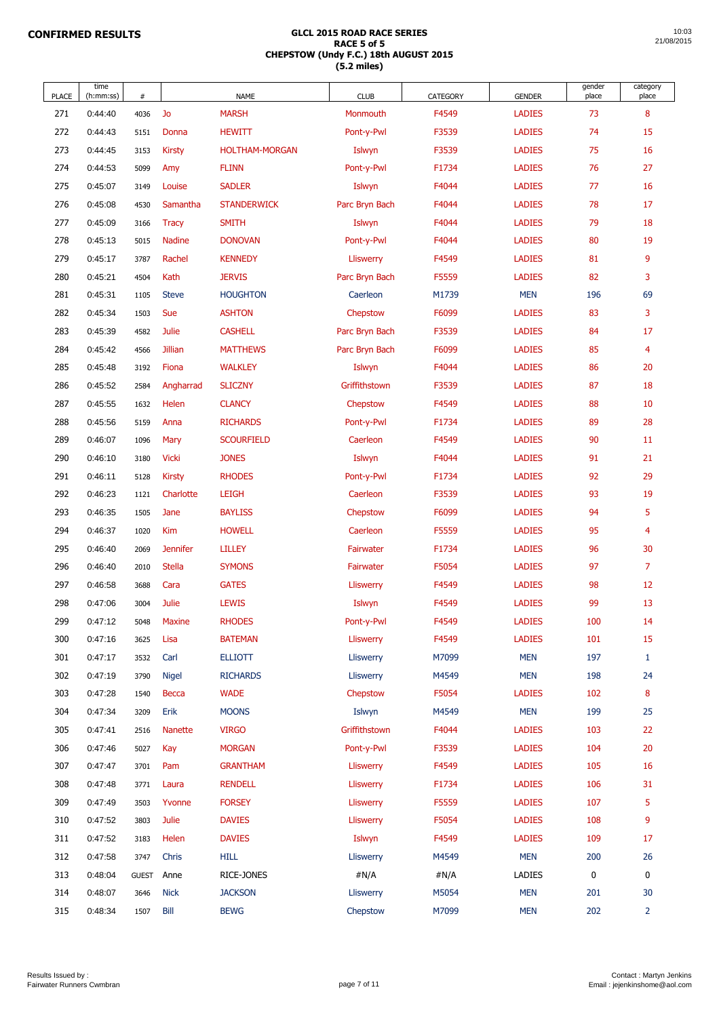| <b>PLACE</b> | time<br>(h:mm:ss) | #            |                 | <b>NAME</b>           | <b>CLUB</b>      | <b>CATEGORY</b> | <b>GENDER</b> | gender<br>place | category<br>place |
|--------------|-------------------|--------------|-----------------|-----------------------|------------------|-----------------|---------------|-----------------|-------------------|
| 271          | 0:44:40           | 4036         | Jo              | <b>MARSH</b>          | Monmouth         | F4549           | <b>LADIES</b> | 73              | 8                 |
| 272          | 0:44:43           | 5151         | Donna           | <b>HEWITT</b>         | Pont-y-Pwl       | F3539           | <b>LADIES</b> | 74              | 15                |
| 273          | 0:44:45           | 3153         | <b>Kirsty</b>   | <b>HOLTHAM-MORGAN</b> | Islwyn           | F3539           | <b>LADIES</b> | 75              | 16                |
| 274          | 0:44:53           | 5099         | Amy             | <b>FLINN</b>          | Pont-y-Pwl       | F1734           | <b>LADIES</b> | 76              | 27                |
| 275          | 0:45:07           | 3149         | Louise          | <b>SADLER</b>         | Islwyn           | F4044           | <b>LADIES</b> | 77              | 16                |
| 276          | 0:45:08           | 4530         | Samantha        | <b>STANDERWICK</b>    | Parc Bryn Bach   | F4044           | <b>LADIES</b> | 78              | 17                |
| 277          | 0:45:09           | 3166         | <b>Tracy</b>    | <b>SMITH</b>          | Islwyn           | F4044           | <b>LADIES</b> | 79              | 18                |
| 278          | 0:45:13           | 5015         | <b>Nadine</b>   | <b>DONOVAN</b>        | Pont-y-Pwl       | F4044           | <b>LADIES</b> | 80              | 19                |
| 279          | 0:45:17           | 3787         | Rachel          | <b>KENNEDY</b>        | <b>Lliswerry</b> | F4549           | <b>LADIES</b> | 81              | 9                 |
| 280          | 0:45:21           | 4504         | Kath            | <b>JERVIS</b>         | Parc Bryn Bach   | F5559           | <b>LADIES</b> | 82              | 3                 |
| 281          | 0:45:31           | 1105         | <b>Steve</b>    | <b>HOUGHTON</b>       | Caerleon         | M1739           | <b>MEN</b>    | 196             | 69                |
| 282          | 0:45:34           | 1503         | <b>Sue</b>      | <b>ASHTON</b>         | Chepstow         | F6099           | <b>LADIES</b> | 83              | 3                 |
| 283          | 0:45:39           | 4582         | <b>Julie</b>    | <b>CASHELL</b>        | Parc Bryn Bach   | F3539           | <b>LADIES</b> | 84              | 17                |
| 284          | 0:45:42           | 4566         | <b>Jillian</b>  | <b>MATTHEWS</b>       | Parc Bryn Bach   | F6099           | <b>LADIES</b> | 85              | $\overline{4}$    |
| 285          | 0:45:48           | 3192         | Fiona           | <b>WALKLEY</b>        | Islwyn           | F4044           | <b>LADIES</b> | 86              | 20                |
| 286          | 0:45:52           | 2584         | Angharrad       | <b>SLICZNY</b>        | Griffithstown    | F3539           | <b>LADIES</b> | 87              | 18                |
| 287          | 0:45:55           | 1632         | Helen           | <b>CLANCY</b>         | Chepstow         | F4549           | <b>LADIES</b> | 88              | 10                |
| 288          | 0:45:56           | 5159         | Anna            | <b>RICHARDS</b>       | Pont-y-Pwl       | F1734           | <b>LADIES</b> | 89              | 28                |
| 289          | 0:46:07           | 1096         | Mary            | <b>SCOURFIELD</b>     | Caerleon         | F4549           | <b>LADIES</b> | 90              | 11                |
| 290          | 0:46:10           | 3180         | <b>Vicki</b>    | <b>JONES</b>          | Islwyn           | F4044           | <b>LADIES</b> | 91              | 21                |
| 291          | 0:46:11           | 5128         | <b>Kirsty</b>   | <b>RHODES</b>         | Pont-y-Pwl       | F1734           | <b>LADIES</b> | 92              | 29                |
| 292          | 0:46:23           | 1121         | Charlotte       | <b>LEIGH</b>          | Caerleon         | F3539           | <b>LADIES</b> | 93              | 19                |
| 293          | 0:46:35           | 1505         | Jane            | <b>BAYLISS</b>        | Chepstow         | F6099           | <b>LADIES</b> | 94              | 5                 |
| 294          | 0:46:37           | 1020         | <b>Kim</b>      | <b>HOWELL</b>         | Caerleon         | F5559           | <b>LADIES</b> | 95              | $\overline{4}$    |
| 295          | 0:46:40           | 2069         | <b>Jennifer</b> | <b>LILLEY</b>         | Fairwater        | F1734           | <b>LADIES</b> | 96              | 30                |
| 296          | 0:46:40           | 2010         | <b>Stella</b>   | <b>SYMONS</b>         | Fairwater        | F5054           | <b>LADIES</b> | 97              | $\overline{7}$    |
| 297          | 0:46:58           | 3688         | Cara            | <b>GATES</b>          | <b>Lliswerry</b> | F4549           | <b>LADIES</b> | 98              | 12                |
| 298          | 0:47:06           | 3004         | <b>Julie</b>    | <b>LEWIS</b>          | Islwyn           | F4549           | <b>LADIES</b> | 99              | 13                |
| 299          | 0:47:12           | 5048         | <b>Maxine</b>   | <b>RHODES</b>         | Pont-y-Pwl       | F4549           | <b>LADIES</b> | 100             | 14                |
| 300          | 0:47:16           | 3625         | Lisa            | <b>BATEMAN</b>        | <b>Lliswerry</b> | F4549           | <b>LADIES</b> | 101             | 15                |
| 301          | 0:47:17           | 3532         | Carl            | <b>ELLIOTT</b>        | Lliswerry        | M7099           | <b>MEN</b>    | 197             | $\mathbf{1}$      |
| 302          | 0:47:19           | 3790         | <b>Nigel</b>    | <b>RICHARDS</b>       | <b>Lliswerry</b> | M4549           | <b>MEN</b>    | 198             | 24                |
| 303          | 0:47:28           | 1540         | <b>Becca</b>    | <b>WADE</b>           | Chepstow         | F5054           | <b>LADIES</b> | 102             | 8                 |
| 304          | 0:47:34           | 3209         | Erik            | <b>MOONS</b>          | Islwyn           | M4549           | <b>MEN</b>    | 199             | 25                |
| 305          | 0:47:41           | 2516         | <b>Nanette</b>  | <b>VIRGO</b>          | Griffithstown    | F4044           | <b>LADIES</b> | 103             | 22                |
| 306          | 0:47:46           | 5027         | Kay             | <b>MORGAN</b>         | Pont-y-Pwl       | F3539           | <b>LADIES</b> | 104             | 20                |
| 307          | 0:47:47           | 3701         | Pam             | <b>GRANTHAM</b>       | Lliswerry        | F4549           | <b>LADIES</b> | 105             | 16                |
| 308          | 0:47:48           | 3771         | Laura           | <b>RENDELL</b>        | Lliswerry        | F1734           | <b>LADIES</b> | 106             | 31                |
| 309          | 0:47:49           | 3503         | Yvonne          | <b>FORSEY</b>         | Lliswerry        | F5559           | <b>LADIES</b> | 107             | 5                 |
| 310          | 0:47:52           | 3803         | Julie           | <b>DAVIES</b>         | <b>Lliswerry</b> | F5054           | <b>LADIES</b> | 108             | 9                 |
| 311          | 0:47:52           | 3183         | Helen           | <b>DAVIES</b>         | Islwyn           | F4549           | <b>LADIES</b> | 109             | 17                |
| 312          | 0:47:58           | 3747         | Chris           | <b>HILL</b>           | Lliswerry        | M4549           | <b>MEN</b>    | 200             | 26                |
| 313          | 0:48:04           | <b>GUEST</b> | Anne            | RICE-JONES            | #N/A             | #N/A            | <b>LADIES</b> | 0               | $\mathbf 0$       |
| 314          | 0:48:07           | 3646         | <b>Nick</b>     | <b>JACKSON</b>        | <b>Lliswerry</b> | M5054           | <b>MEN</b>    | 201             | 30                |
| 315          | 0:48:34           | 1507         | Bill            | <b>BEWG</b>           | Chepstow         | M7099           | <b>MEN</b>    | 202             | $\overline{2}$    |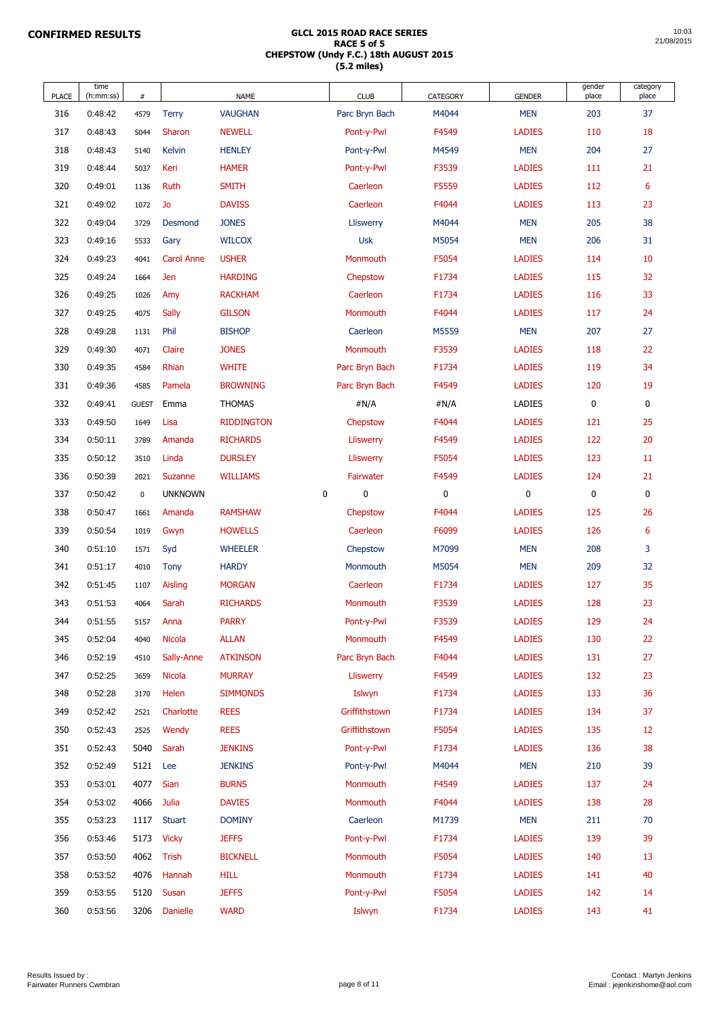| <b>PLACE</b> | time<br>(h:mm:ss)  | $\#$         |                   | <b>NAME</b>                 | <b>CLUB</b>          | <b>CATEGORY</b> | <b>GENDER</b>                  | gender<br>place  | category<br>place |
|--------------|--------------------|--------------|-------------------|-----------------------------|----------------------|-----------------|--------------------------------|------------------|-------------------|
| 316          | 0:48:42            | 4579         | <b>Terry</b>      | <b>VAUGHAN</b>              | Parc Bryn Bach       | M4044           | <b>MEN</b>                     | 203              | 37                |
| 317          | 0:48:43            | 5044         | Sharon            | <b>NEWELL</b>               | Pont-y-Pwl           | F4549           | <b>LADIES</b>                  | 110              | 18                |
| 318          | 0:48:43            | 5140         | Kelvin            | <b>HENLEY</b>               | Pont-y-Pwl           | M4549           | <b>MEN</b>                     | 204              | 27                |
| 319          | 0:48:44            | 5037         | Keri              | <b>HAMER</b>                | Pont-y-Pwl           | F3539           | <b>LADIES</b>                  | 111              | 21                |
| 320          | 0:49:01            | 1136         | Ruth              | <b>SMITH</b>                | Caerleon             | F5559           | <b>LADIES</b>                  | 112              | 6                 |
| 321          | 0:49:02            | 1072         | Jo                | <b>DAVISS</b>               | Caerleon             | F4044           | <b>LADIES</b>                  | 113              | 23                |
| 322          | 0:49:04            | 3729         | Desmond           | <b>JONES</b>                | <b>Lliswerry</b>     | M4044           | <b>MEN</b>                     | 205              | 38                |
| 323          | 0:49:16            | 5533         | Gary              | <b>WILCOX</b>               | <b>Usk</b>           | M5054           | <b>MEN</b>                     | 206              | 31                |
| 324          | 0:49:23            | 4041         | <b>Carol Anne</b> | <b>USHER</b>                | Monmouth             | F5054           | <b>LADIES</b>                  | 114              | 10                |
| 325          | 0:49:24            | 1664         | Jen               | <b>HARDING</b>              | Chepstow             | F1734           | <b>LADIES</b>                  | 115              | 32                |
| 326          | 0:49:25            | 1026         | Amy               | <b>RACKHAM</b>              | Caerleon             | F1734           | <b>LADIES</b>                  | 116              | 33                |
| 327          | 0:49:25            | 4075         | Sally             | <b>GILSON</b>               | Monmouth             | F4044           | <b>LADIES</b>                  | 117              | 24                |
| 328          | 0:49:28            | 1131         | Phil              | <b>BISHOP</b>               | Caerleon             | M5559           | <b>MEN</b>                     | 207              | 27                |
| 329          | 0:49:30            | 4071         | Claire            | <b>JONES</b>                | Monmouth             | F3539           | <b>LADIES</b>                  | 118              | 22                |
| 330          | 0:49:35            | 4584         | Rhian             | <b>WHITE</b>                | Parc Bryn Bach       | F1734           | <b>LADIES</b>                  | 119              | 34                |
| 331          | 0:49:36            | 4585         | Pamela            | <b>BROWNING</b>             | Parc Bryn Bach       | F4549           | <b>LADIES</b>                  | 120              | 19                |
| 332          | 0:49:41            | <b>GUEST</b> | Emma              | <b>THOMAS</b>               | #N/A                 | #N/A            | <b>LADIES</b>                  | $\boldsymbol{0}$ | 0                 |
| 333          | 0:49:50            | 1649         | Lisa              | <b>RIDDINGTON</b>           | Chepstow             | F4044           | <b>LADIES</b>                  | 121              | 25                |
| 334          | 0:50:11            | 3789         | Amanda            | <b>RICHARDS</b>             | <b>Lliswerry</b>     | F4549           | <b>LADIES</b>                  | 122              | 20                |
| 335          | 0:50:12            | 3510         | Linda             | <b>DURSLEY</b>              | <b>Lliswerry</b>     | F5054           | <b>LADIES</b>                  | 123              | 11                |
| 336          | 0:50:39            | 2021         | Suzanne           | <b>WILLIAMS</b>             | Fairwater            | F4549           | <b>LADIES</b>                  | 124              | 21                |
| 337          | 0:50:42            | $\mathbf 0$  | <b>UNKNOWN</b>    | $\bf{0}$                    | $\bf{0}$             | $\bf{0}$        | $\bf{0}$                       | $\boldsymbol{0}$ | $\pmb{0}$         |
| 338          | 0:50:47            | 1661         | Amanda            | <b>RAMSHAW</b>              | Chepstow             | F4044           | <b>LADIES</b>                  | 125              | 26                |
| 339          | 0:50:54            | 1019         | Gwyn              | <b>HOWELLS</b>              | Caerleon             | F6099           | <b>LADIES</b>                  | 126              | $6\phantom{1}$    |
| 340          | 0:51:10            | 1571         | Syd               | <b>WHEELER</b>              | Chepstow             | M7099           | <b>MEN</b>                     | 208              | 3                 |
| 341          | 0:51:17            | 4010         | <b>Tony</b>       | <b>HARDY</b>                | Monmouth             | M5054           | <b>MEN</b>                     | 209              | 32                |
| 342          | 0:51:45            | 1107         | Aisling           | <b>MORGAN</b>               | Caerleon             | F1734           | <b>LADIES</b>                  | 127              | 35                |
| 343          | 0:51:53            | 4064         | Sarah             | <b>RICHARDS</b>             | Monmouth             | F3539           | <b>LADIES</b>                  | 128              | 23                |
| 344          | 0:51:55            | 5157         | Anna              | <b>PARRY</b>                | Pont-y-Pwl           | F3539           | <b>LADIES</b>                  | 129              | 24                |
| 345          | 0:52:04            | 4040         | <b>Nicola</b>     | <b>ALLAN</b>                | Monmouth             | F4549           | <b>LADIES</b>                  | 130              | 22                |
| 346          | 0:52:19            | 4510         | Sally-Anne        | <b>ATKINSON</b>             | Parc Bryn Bach       | F4044           | <b>LADIES</b>                  | 131              | 27                |
| 347          | 0:52:25            | 3659         | <b>Nicola</b>     | <b>MURRAY</b>               | <b>Lliswerry</b>     | F4549           | <b>LADIES</b>                  | 132              | 23                |
| 348          | 0:52:28            | 3170         | Helen             | <b>SIMMONDS</b>             | Islwyn               | F1734           | <b>LADIES</b>                  | 133              | 36                |
| 349          | 0:52:42            | 2521         | Charlotte         | <b>REES</b>                 | Griffithstown        | F1734           | <b>LADIES</b>                  | 134              | 37                |
| 350          | 0:52:43            | 2525         | Wendy             | <b>REES</b>                 | Griffithstown        | F5054           | <b>LADIES</b>                  | 135              | 12                |
| 351          | 0:52:43            | 5040         | Sarah             | <b>JENKINS</b>              | Pont-y-Pwl           | F1734           | <b>LADIES</b>                  | 136              | 38                |
| 352          | 0:52:49            | 5121         | Lee               | <b>JENKINS</b>              | Pont-y-Pwl           | M4044           | <b>MEN</b>                     | 210              | 39                |
| 353          | 0:53:01            | 4077         | <b>Sian</b>       | <b>BURNS</b>                | Monmouth             | F4549           | <b>LADIES</b>                  | 137              | 24                |
| 354          | 0:53:02            | 4066         | Julia             | <b>DAVIES</b>               | Monmouth             | F4044           | <b>LADIES</b>                  | 138              | 28                |
| 355          | 0:53:23            | 1117         | <b>Stuart</b>     | <b>DOMINY</b>               | Caerleon             | M1739           | <b>MEN</b>                     | 211              | 70                |
| 356          | 0:53:46            |              | 5173 Vicky        | <b>JEFFS</b>                | Pont-y-Pwl           | F1734           | <b>LADIES</b>                  | 139              | 39                |
| 357          | 0:53:50            | 4062         | Trish             | <b>BICKNELL</b>             | Monmouth             | F5054           | <b>LADIES</b>                  | 140              | 13                |
| 358          | 0:53:52            | 4076         | Hannah            | <b>HILL</b>                 | Monmouth             | F1734           | <b>LADIES</b>                  | 141              | 40                |
| 359<br>360   | 0:53:55<br>0:53:56 | 5120<br>3206 | Susan<br>Danielle | <b>JEFFS</b><br><b>WARD</b> | Pont-y-Pwl<br>Islwyn | F5054<br>F1734  | <b>LADIES</b><br><b>LADIES</b> | 142<br>143       | 14<br>41          |
|              |                    |              |                   |                             |                      |                 |                                |                  |                   |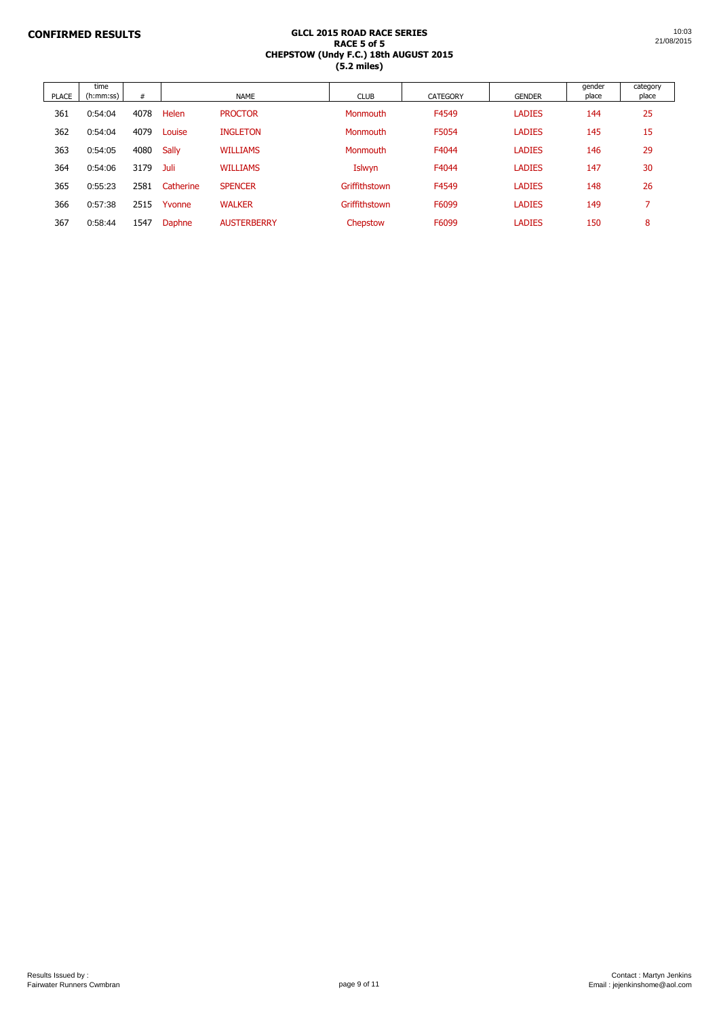| <b>PLACE</b> | time<br>(h:mm:ss) | #    |              | <b>NAME</b>        | <b>CLUB</b>   | <b>CATEGORY</b> | <b>GENDER</b> | gender<br>place | category<br>place |
|--------------|-------------------|------|--------------|--------------------|---------------|-----------------|---------------|-----------------|-------------------|
| 361          | 0:54:04           | 4078 | Helen        | <b>PROCTOR</b>     | Monmouth      | F4549           | <b>LADIES</b> | 144             | 25                |
| 362          | 0:54:04           | 4079 | Louise       | <b>INGLETON</b>    | Monmouth      | F5054           | <b>LADIES</b> | 145             | 15                |
| 363          | 0:54:05           | 4080 | <b>Sally</b> | <b>WILLIAMS</b>    | Monmouth      | F4044           | <b>LADIES</b> | 146             | 29                |
| 364          | 0:54:06           | 3179 | Juli         | <b>WILLIAMS</b>    | Islwyn        | F4044           | <b>LADIES</b> | 147             | 30                |
| 365          | 0:55:23           | 2581 | Catherine    | <b>SPENCER</b>     | Griffithstown | F4549           | <b>LADIES</b> | 148             | 26                |
| 366          | 0:57:38           | 2515 | Yvonne       | <b>WALKER</b>      | Griffithstown | F6099           | <b>LADIES</b> | 149             |                   |
| 367          | 0:58:44           | 1547 | Daphne       | <b>AUSTERBERRY</b> | Chepstow      | F6099           | <b>LADIES</b> | 150             | 8                 |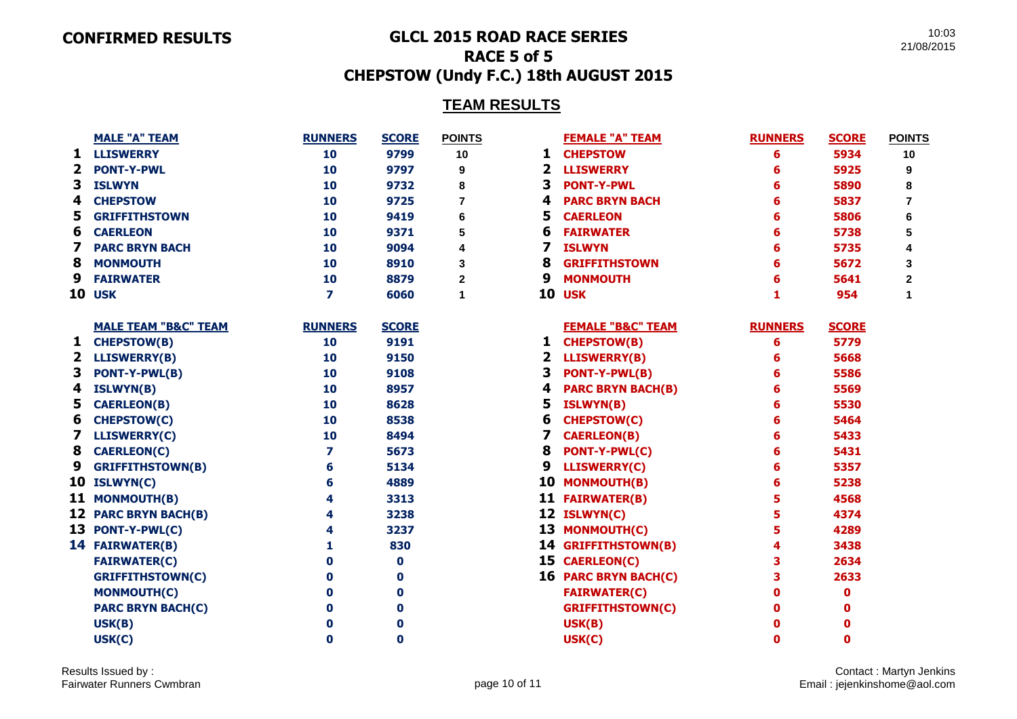#### **CONFIRMED RESULTS GLCL 2015 ROAD RACE SERIES**

10:03 21/08/2015

# **RACE 5 of 5 CHEPSTOW (Undy F.C.) 18th AUGUST 2015**

# **TEAM RESULTS**

|              | <b>MALE "A" TEAM</b>            | <b>RUNNERS</b> | <b>SCORE</b> | <b>POINTS</b>  |    | <b>FEMALE "A" TEAM</b>       | <b>RUNNERS</b> | <b>SCORE</b> | <b>POINTS</b>  |
|--------------|---------------------------------|----------------|--------------|----------------|----|------------------------------|----------------|--------------|----------------|
| 1            | <b>LLISWERRY</b>                | 10             | 9799         | 10             | 1  | <b>CHEPSTOW</b>              | 6              | 5934         | 10             |
| $\mathbf{2}$ | <b>PONT-Y-PWL</b>               | 10             | 9797         | 9              | 2  | <b>LLISWERRY</b>             | 6              | 5925         | 9              |
| 3            | <b>ISLWYN</b>                   | 10             | 9732         | 8              | 3  | <b>PONT-Y-PWL</b>            | 6              | 5890         | 8              |
| 4            | <b>CHEPSTOW</b>                 | 10             | 9725         | $\overline{7}$ | 4  | <b>PARC BRYN BACH</b>        | 6              | 5837         | $\overline{7}$ |
| 5            | <b>GRIFFITHSTOWN</b>            | 10             | 9419         | 6              | 5  | <b>CAERLEON</b>              | 6              | 5806         | 6              |
| 6            | <b>CAERLEON</b>                 | 10             | 9371         | 5              | 6  | <b>FAIRWATER</b>             | 6              | 5738         | 5              |
|              | <b>PARC BRYN BACH</b>           | 10             | 9094         | 4              | 7  | <b>ISLWYN</b>                | 6              | 5735         | 4              |
| 8            | <b>MONMOUTH</b>                 | 10             | 8910         | 3              | 8  | <b>GRIFFITHSTOWN</b>         | 6              | 5672         | 3              |
| 9            | <b>FAIRWATER</b>                | 10             | 8879         | $\mathbf{2}$   | 9  | <b>MONMOUTH</b>              | 6              | 5641         | $\overline{2}$ |
| 10           | <b>USK</b>                      | $\overline{ }$ | 6060         | $\mathbf 1$    | 10 | <b>USK</b>                   |                | 954          | 1              |
|              | <b>MALE TEAM "B&amp;C" TEAM</b> | <b>RUNNERS</b> | <b>SCORE</b> |                |    | <b>FEMALE "B&amp;C" TEAM</b> | <b>RUNNERS</b> | <b>SCORE</b> |                |
| 1            | <b>CHEPSTOW(B)</b>              | 10             | 9191         |                | 1  | <b>CHEPSTOW(B)</b>           | 6              | 5779         |                |
| $\mathbf{2}$ | <b>LLISWERRY(B)</b>             | 10             | 9150         |                | 2  | <b>LLISWERRY(B)</b>          | 6              | 5668         |                |
| 3            | <b>PONT-Y-PWL(B)</b>            | 10             | 9108         |                | 3  | <b>PONT-Y-PWL(B)</b>         | 6              | 5586         |                |
| 4            | <b>ISLWYN(B)</b>                | 10             | 8957         |                | 4  | <b>PARC BRYN BACH(B)</b>     | 6              | 5569         |                |
| 5            | <b>CAERLEON(B)</b>              | 10             | 8628         |                | 5  | <b>ISLWYN(B)</b>             | 6              | 5530         |                |
| 6            | <b>CHEPSTOW(C)</b>              | 10             | 8538         |                | 6  | <b>CHEPSTOW(C)</b>           | 6              | 5464         |                |
|              | <b>LLISWERRY(C)</b>             | 10             | 8494         |                | 7  | <b>CAERLEON(B)</b>           | 6              | 5433         |                |
| 8            | <b>CAERLEON(C)</b>              | 7              | 5673         |                | 8  | PONT-Y-PWL(C)                | 6              | 5431         |                |
| 9            | <b>GRIFFITHSTOWN(B)</b>         | 6              | 5134         |                | 9  | <b>LLISWERRY(C)</b>          | 6              | 5357         |                |
|              | 10 ISLWYN(C)                    | 6              | 4889         |                |    | 10 MONMOUTH(B)               | 6              | 5238         |                |
|              | 11 MONMOUTH(B)                  | 4              | 3313         |                |    | 11 FAIRWATER(B)              | 5              | 4568         |                |
|              | 12 PARC BRYN BACH(B)            | 4              | 3238         |                |    | 12 ISLWYN(C)                 | 5              | 4374         |                |
|              | 13 PONT-Y-PWL(C)                | 4              | 3237         |                |    | 13 MONMOUTH(C)               | 5              | 4289         |                |
|              | 14 FAIRWATER(B)                 | 1              | 830          |                |    | 14 GRIFFITHSTOWN(B)          | 4              | 3438         |                |
|              | <b>FAIRWATER(C)</b>             | $\bf{0}$       | $\bf{0}$     |                |    | 15 CAERLEON(C)               | 3              | 2634         |                |
|              | <b>GRIFFITHSTOWN(C)</b>         | $\bf{0}$       | 0            |                |    | 16 PARC BRYN BACH(C)         | 3              | 2633         |                |
|              | <b>MONMOUTH(C)</b>              | $\bf{0}$       | $\mathbf 0$  |                |    | <b>FAIRWATER(C)</b>          | 0              | 0            |                |
|              | <b>PARC BRYN BACH(C)</b>        | 0              | $\mathbf 0$  |                |    | <b>GRIFFITHSTOWN(C)</b>      | 0              | 0            |                |
|              | USK(B)                          | 0              | 0            |                |    | USK(B)                       | U              | 0            |                |
|              | USK(C)                          | $\bf{0}$       | 0            |                |    | USK(C)                       | O              | 0            |                |